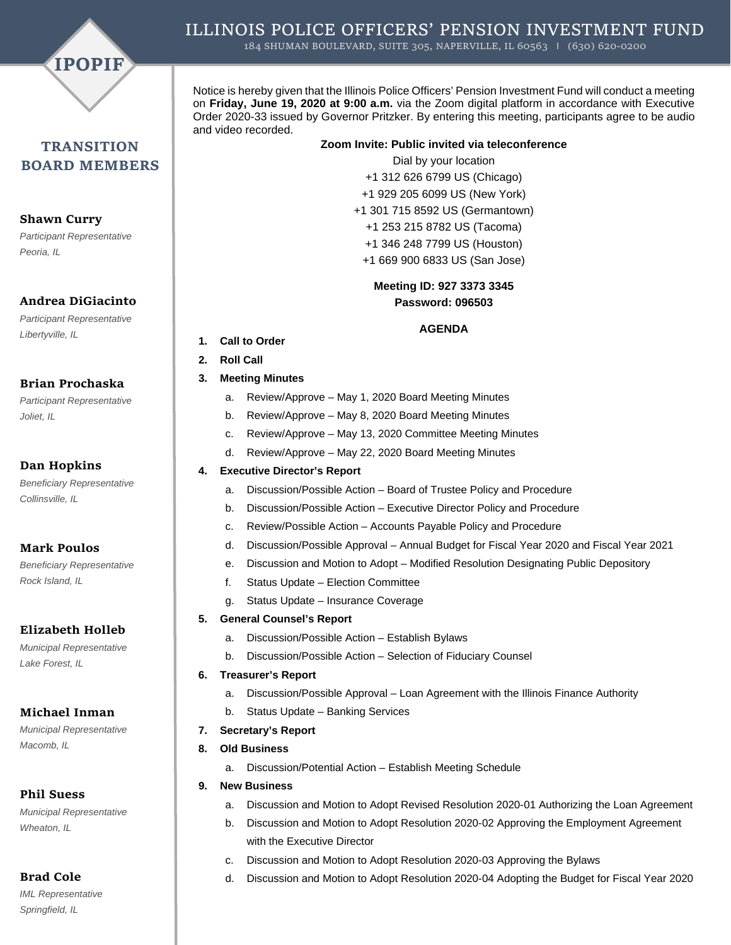

# **TRANSITION BOARD MEMBERS**

**Shawn Curry** *Participant Representative Peoria, IL* 

#### **Andrea DiGiacinto**

*Participant Representative Libertyville, IL* 

#### **Brian Prochaska**

*Participant Representative Joliet, IL* 

## **Dan Hopkins**

*Beneficiary Representative Collinsville, IL* 

# **Mark Poulos**

*Beneficiary Representative Rock Island, IL* 

# **Elizabeth Holleb**

*Municipal Representative Lake Forest, IL* 

# **Michael Inman**

*Municipal Representative Macomb, IL* 

# **Phil Suess**

*Municipal Representative Wheaton, IL* 

# **Brad Cole**

*IML Representative Springfield, IL* 

Notice is hereby given that the Illinois Police Officers' Pension Investment Fund will conduct a meeting on **Friday, June 19, 2020 at 9:00 a.m.** via the Zoom digital platform in accordance with Executive Order 2020-33 issued by Governor Pritzker. By entering this meeting, participants agree to be audio and video recorded.

#### **Zoom Invite: Public invited via teleconference**

Dial by your location +1 312 626 6799 US (Chicago) +1 929 205 6099 US (New York) +1 301 715 8592 US (Germantown) +1 253 215 8782 US (Tacoma)

- +1 346 248 7799 US (Houston)
- +1 669 900 6833 US (San Jose)

# **Meeting ID: 927 3373 3345 Password: 096503**

#### **AGENDA**

- **1. Call to Order**
- **2. Roll Call**

#### **3. Meeting Minutes**

- a. Review/Approve May 1, 2020 Board Meeting Minutes
- b. Review/Approve May 8, 2020 Board Meeting Minutes
- c. Review/Approve May 13, 2020 Committee Meeting Minutes
- d. Review/Approve May 22, 2020 Board Meeting Minutes

#### **4. Executive Director's Report**

- a. Discussion/Possible Action Board of Trustee Policy and Procedure
- b. Discussion/Possible Action Executive Director Policy and Procedure
- c. Review/Possible Action Accounts Payable Policy and Procedure
- d. Discussion/Possible Approval Annual Budget for Fiscal Year 2020 and Fiscal Year 2021
- e. Discussion and Motion to Adopt Modified Resolution Designating Public Depository
- f. Status Update Election Committee
- g. Status Update Insurance Coverage

# **5. General Counsel's Report**

- a. Discussion/Possible Action Establish Bylaws
- b. Discussion/Possible Action Selection of Fiduciary Counsel
- **6. Treasurer's Report**
	- a. Discussion/Possible Approval Loan Agreement with the Illinois Finance Authority
	- b. Status Update Banking Services
- **7. Secretary's Report**
- **8. Old Business**
	- a. Discussion/Potential Action Establish Meeting Schedule
- **9. New Business**
	- a. Discussion and Motion to Adopt Revised Resolution 2020-01 Authorizing the Loan Agreement
	- b. Discussion and Motion to Adopt Resolution 2020-02 Approving the Employment Agreement with the Executive Director
	- c. Discussion and Motion to Adopt Resolution 2020-03 Approving the Bylaws
		- d. Discussion and Motion to Adopt Resolution 2020-04 Adopting the Budget for Fiscal Year 2020